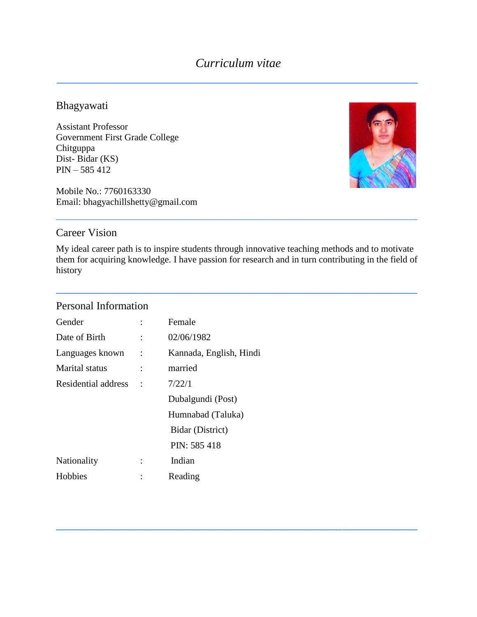#### Bhagyawati

Assistant Professor Government First Grade College Chitguppa Dist- Bidar (KS) PIN – 585 412

Mobile No.: 7760163330 Email: bhagyachillshetty@gmail.com



## Career Vision

My ideal career path is to inspire students through innovative teaching methods and to motivate them for acquiring knowledge. I have passion for research and in turn contributing in the field of history

**\_\_\_\_\_\_\_\_\_\_\_\_\_\_\_\_\_\_\_\_\_\_\_\_\_\_\_\_\_\_\_\_\_\_\_\_\_\_\_\_\_\_\_\_\_\_\_\_\_\_\_\_\_\_\_\_\_\_**

**\_\_\_\_\_\_\_\_\_\_\_\_\_\_\_\_\_\_\_\_\_\_\_\_\_\_\_\_\_\_\_\_\_\_\_\_\_\_\_\_\_\_\_\_\_\_\_\_\_\_\_\_\_\_\_\_\_\_**

\_\_\_\_\_\_\_\_\_\_\_\_\_\_\_\_\_\_\_\_\_\_\_\_\_\_\_\_\_\_\_\_\_\_\_\_\_\_\_\_\_\_\_\_\_\_\_\_\_\_\_\_\_\_\_\_\_\_

## Personal Information

| Gender              |                      | Female                  |
|---------------------|----------------------|-------------------------|
| Date of Birth       | $\ddot{\cdot}$       | 02/06/1982              |
| Languages known     | $\ddot{\phantom{a}}$ | Kannada, English, Hindi |
| Marital status      |                      | married                 |
| Residential address |                      | 7/22/1                  |
|                     |                      | Dubalgundi (Post)       |
|                     |                      | Humnabad (Taluka)       |
|                     |                      | Bidar (District)        |
|                     |                      | PIN: 585 418            |
| Nationality         |                      | Indian                  |
| Hobbies             |                      | Reading                 |